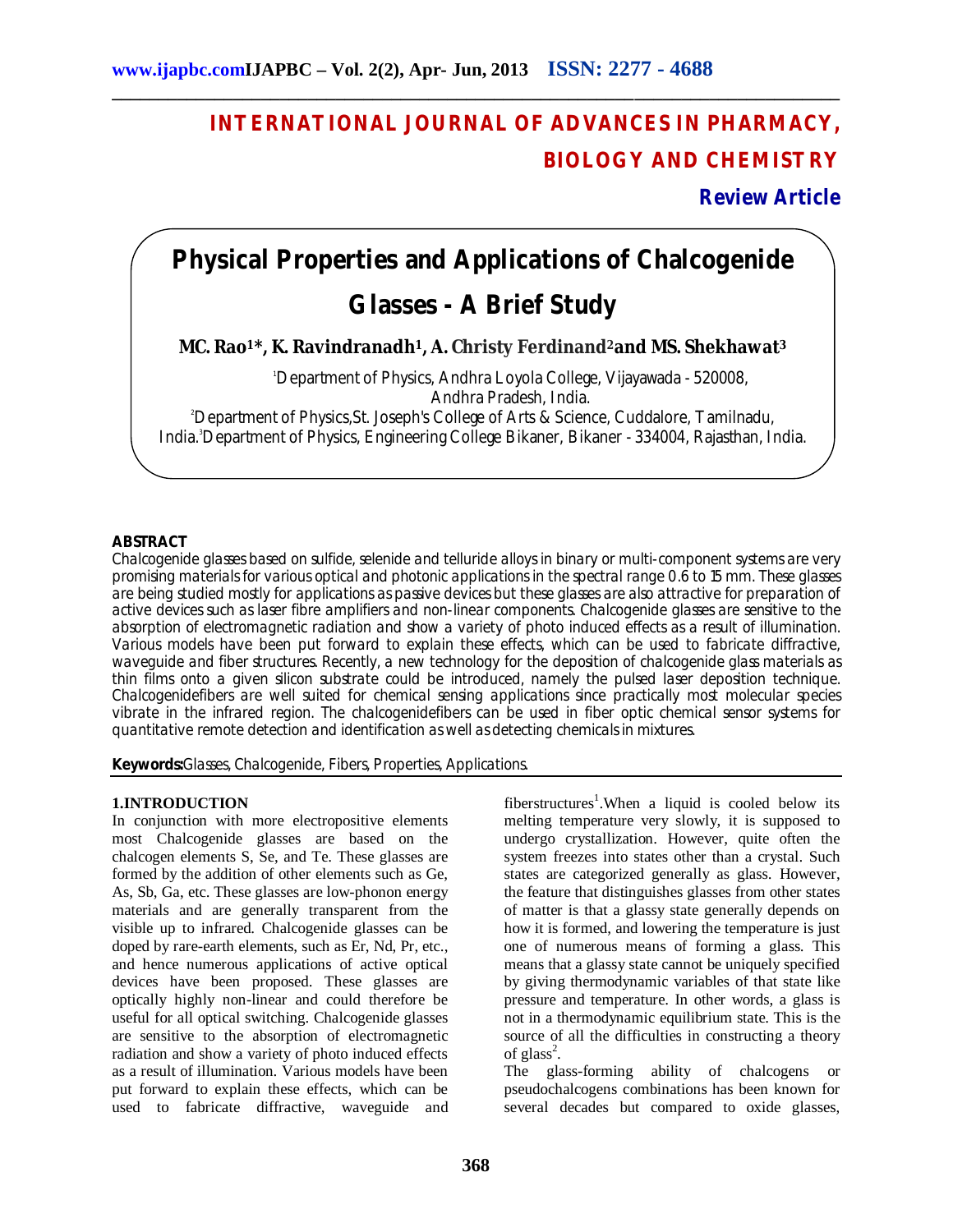## **INTERNATIONAL JOURNAL OF ADVANCES IN PHARMACY, BIOLOGY AND CHEMISTRY**

**Review Article**

# **Physical Properties and Applications of Chalcogenide**

**\_\_\_\_\_\_\_\_\_\_\_\_\_\_\_\_\_\_\_\_\_\_\_\_\_\_\_\_\_\_\_\_\_\_\_\_\_\_\_\_\_\_\_\_\_\_\_\_\_\_\_\_\_\_\_\_\_\_\_\_\_\_\_\_\_\_\_\_\_\_\_\_\_\_\_\_\_\_**

### **Glasses - A Brief Study**

**MC. Rao1\*, K. Ravindranadh1, A. Christy Ferdinand2and MS. Shekhawat<sup>3</sup>**

<sup>1</sup>Department of Physics, Andhra Loyola College, Vijayawada - 520008, Andhra Pradesh, India.

<sup>2</sup>Department of Physics,St. Joseph's College of Arts & Science, Cuddalore, Tamilnadu, India.<sup>3</sup>Department of Physics, Engineering College Bikaner, Bikaner - 334004, Rajasthan, India.

#### **ABSTRACT**

Chalcogenide glasses based on sulfide, selenide and telluride alloys in binary or multi-component systems are very promising materials for various optical and photonic applications in the spectral range 0.6 to 15 mm. These glasses are being studied mostly for applications as passive devices but these glasses are also attractive for preparation of active devices such as laser fibre amplifiers and non-linear components. Chalcogenide glasses are sensitive to the absorption of electromagnetic radiation and show a variety of photo induced effects as a result of illumination. Various models have been put forward to explain these effects, which can be used to fabricate diffractive, waveguide and fiber structures. Recently, a new technology for the deposition of chalcogenide glass materials as thin films onto a given silicon substrate could be introduced, namely the pulsed laser deposition technique. Chalcogenidefibers are well suited for chemical sensing applications since practically most molecular species vibrate in the infrared region. The chalcogenidefibers can be used in fiber optic chemical sensor systems for quantitative remote detection and identification as well as detecting chemicals in mixtures.

**Keywords:**Glasses, Chalcogenide, Fibers, Properties, Applications.

#### **1.INTRODUCTION**

In conjunction with more electropositive elements most Chalcogenide glasses are based on the chalcogen elements S, Se, and Te. These glasses are formed by the addition of other elements such as Ge, As, Sb, Ga, etc. These glasses are low-phonon energy materials and are generally transparent from the visible up to infrared. Chalcogenide glasses can be doped by rare-earth elements, such as Er, Nd, Pr, etc., and hence numerous applications of active optical devices have been proposed. These glasses are optically highly non-linear and could therefore be useful for all optical switching. Chalcogenide glasses are sensitive to the absorption of electromagnetic radiation and show a variety of photo induced effects as a result of illumination. Various models have been put forward to explain these effects, which can be used to fabricate diffractive, waveguide and

fiberstructures<sup>1</sup>. When a liquid is cooled below its melting temperature very slowly, it is supposed to undergo crystallization. However, quite often the system freezes into states other than a crystal. Such states are categorized generally as glass. However, the feature that distinguishes glasses from other states of matter is that a glassy state generally depends on how it is formed, and lowering the temperature is just one of numerous means of forming a glass. This means that a glassy state cannot be uniquely specified by giving thermodynamic variables of that state like pressure and temperature. In other words, a glass is not in a thermodynamic equilibrium state. This is the source of all the difficulties in constructing a theory of  $glass^2$ .

The glass-forming ability of chalcogens or pseudochalcogens combinations has been known for several decades but compared to oxide glasses,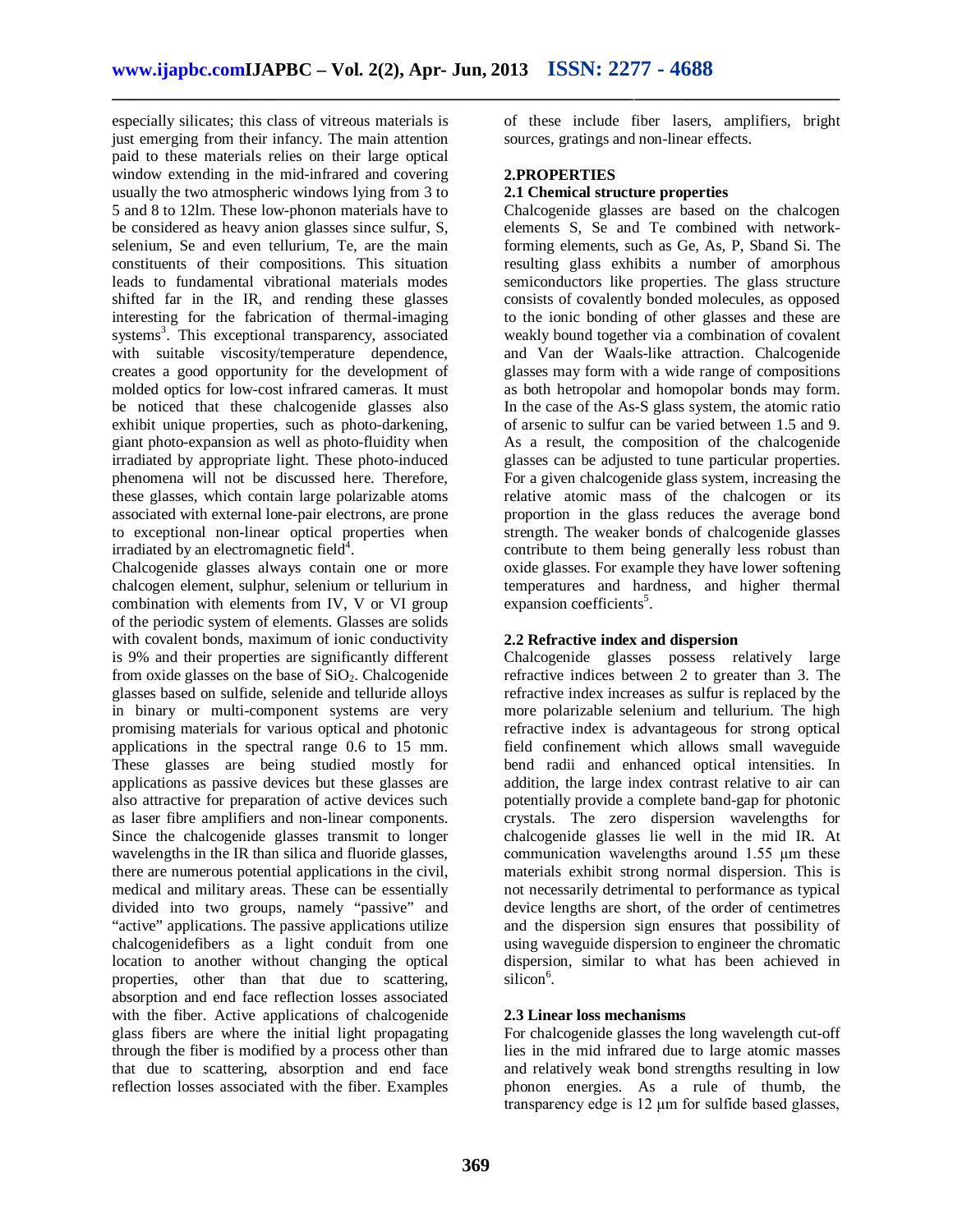**\_\_\_\_\_\_\_\_\_\_\_\_\_\_\_\_\_\_\_\_\_\_\_\_\_\_\_\_\_\_\_\_\_\_\_\_\_\_\_\_\_\_\_\_\_\_\_\_\_\_\_\_\_\_\_\_\_\_\_\_\_\_\_\_\_\_\_\_\_\_\_\_\_\_\_\_\_\_**

especially silicates; this class of vitreous materials is just emerging from their infancy. The main attention paid to these materials relies on their large optical window extending in the mid-infrared and covering usually the two atmospheric windows lying from 3 to 5 and 8 to 12lm. These low-phonon materials have to be considered as heavy anion glasses since sulfur, S, selenium, Se and even tellurium, Te, are the main constituents of their compositions. This situation leads to fundamental vibrational materials modes shifted far in the IR, and rending these glasses interesting for the fabrication of thermal-imaging systems<sup>3</sup>. This exceptional transparency, associated with suitable viscosity/temperature dependence, creates a good opportunity for the development of molded optics for low-cost infrared cameras. It must be noticed that these chalcogenide glasses also exhibit unique properties, such as photo-darkening, giant photo-expansion as well as photo-fluidity when irradiated by appropriate light. These photo-induced phenomena will not be discussed here. Therefore, these glasses, which contain large polarizable atoms associated with external lone-pair electrons, are prone to exceptional non-linear optical properties when irradiated by an electromagnetic field<sup>4</sup>.

Chalcogenide glasses always contain one or more chalcogen element, sulphur, selenium or tellurium in combination with elements from IV, V or VI group of the periodic system of elements. Glasses are solids with covalent bonds, maximum of ionic conductivity is 9% and their properties are significantly different from oxide glasses on the base of  $SiO<sub>2</sub>$ . Chalcogenide glasses based on sulfide, selenide and telluride alloys in binary or multi-component systems are very promising materials for various optical and photonic applications in the spectral range 0.6 to 15 mm. These glasses are being studied mostly for applications as passive devices but these glasses are also attractive for preparation of active devices such as laser fibre amplifiers and non-linear components. Since the chalcogenide glasses transmit to longer wavelengths in the IR than silica and fluoride glasses, there are numerous potential applications in the civil, medical and military areas. These can be essentially divided into two groups, namely "passive" and "active" applications. The passive applications utilize chalcogenidefibers as a light conduit from one location to another without changing the optical properties, other than that due to scattering, absorption and end face reflection losses associated with the fiber. Active applications of chalcogenide glass fibers are where the initial light propagating through the fiber is modified by a process other than that due to scattering, absorption and end face reflection losses associated with the fiber. Examples

of these include fiber lasers, amplifiers, bright sources, gratings and non-linear effects.

#### **2.PROPERTIES**

#### **2.1 Chemical structure properties**

Chalcogenide glasses are based on the chalcogen elements S, Se and Te combined with networkforming elements, such as Ge, As, P, Sband Si. The resulting glass exhibits a number of amorphous semiconductors like properties. The glass structure consists of covalently bonded molecules, as opposed to the ionic bonding of other glasses and these are weakly bound together via a combination of covalent and Van der Waals-like attraction. Chalcogenide glasses may form with a wide range of compositions as both hetropolar and homopolar bonds may form. In the case of the As-S glass system, the atomic ratio of arsenic to sulfur can be varied between 1.5 and 9. As a result, the composition of the chalcogenide glasses can be adjusted to tune particular properties. For a given chalcogenide glass system, increasing the relative atomic mass of the chalcogen or its proportion in the glass reduces the average bond strength. The weaker bonds of chalcogenide glasses contribute to them being generally less robust than oxide glasses. For example they have lower softening temperatures and hardness, and higher thermal expansion coefficients<sup>5</sup>.

#### **2.2 Refractive index and dispersion**

Chalcogenide glasses possess relatively large refractive indices between 2 to greater than 3. The refractive index increases as sulfur is replaced by the more polarizable selenium and tellurium. The high refractive index is advantageous for strong optical field confinement which allows small waveguide bend radii and enhanced optical intensities. In addition, the large index contrast relative to air can potentially provide a complete band-gap for photonic crystals. The zero dispersion wavelengths for chalcogenide glasses lie well in the mid IR. At communication wavelengths around 1.55 μm these materials exhibit strong normal dispersion. This is not necessarily detrimental to performance as typical device lengths are short, of the order of centimetres and the dispersion sign ensures that possibility of using waveguide dispersion to engineer the chromatic dispersion, similar to what has been achieved in silicon<sup>6</sup>.

#### **2.3 Linear loss mechanisms**

For chalcogenide glasses the long wavelength cut-off lies in the mid infrared due to large atomic masses and relatively weak bond strengths resulting in low phonon energies. As a rule of thumb, the transparency edge is 12 μm for sulfide based glasses,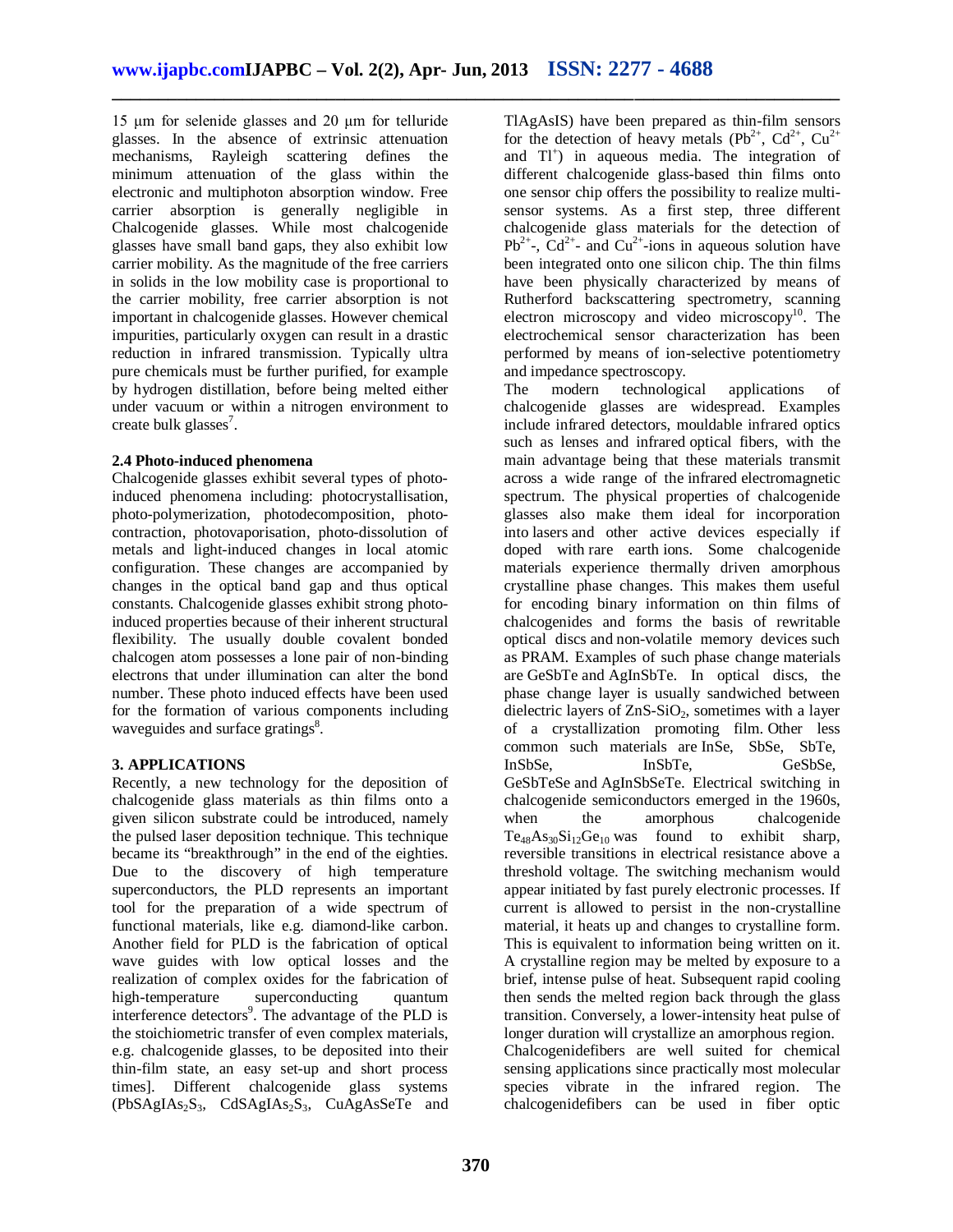**\_\_\_\_\_\_\_\_\_\_\_\_\_\_\_\_\_\_\_\_\_\_\_\_\_\_\_\_\_\_\_\_\_\_\_\_\_\_\_\_\_\_\_\_\_\_\_\_\_\_\_\_\_\_\_\_\_\_\_\_\_\_\_\_\_\_\_\_\_\_\_\_\_\_\_\_\_\_**

15 μm for selenide glasses and 20 μm for telluride glasses. In the absence of extrinsic attenuation mechanisms, Rayleigh scattering defines the minimum attenuation of the glass within the electronic and multiphoton absorption window. Free carrier absorption is generally negligible in Chalcogenide glasses. While most chalcogenide glasses have small band gaps, they also exhibit low carrier mobility. As the magnitude of the free carriers in solids in the low mobility case is proportional to the carrier mobility, free carrier absorption is not important in chalcogenide glasses. However chemical impurities, particularly oxygen can result in a drastic reduction in infrared transmission. Typically ultra pure chemicals must be further purified, for example by hydrogen distillation, before being melted either under vacuum or within a nitrogen environment to create bulk glasses<sup>7</sup>.

#### **2.4 Photo-induced phenomena**

Chalcogenide glasses exhibit several types of photoinduced phenomena including: photocrystallisation, photo-polymerization, photodecomposition, photocontraction, photovaporisation, photo-dissolution of metals and light-induced changes in local atomic configuration. These changes are accompanied by changes in the optical band gap and thus optical constants. Chalcogenide glasses exhibit strong photoinduced properties because of their inherent structural flexibility. The usually double covalent bonded chalcogen atom possesses a lone pair of non-binding electrons that under illumination can alter the bond number. These photo induced effects have been used for the formation of various components including waveguides and surface gratings<sup>8</sup>.

#### **3. APPLICATIONS**

Recently, a new technology for the deposition of chalcogenide glass materials as thin films onto a given silicon substrate could be introduced, namely the pulsed laser deposition technique. This technique became its "breakthrough" in the end of the eighties. Due to the discovery of high temperature superconductors, the PLD represents an important tool for the preparation of a wide spectrum of functional materials, like e.g. diamond-like carbon. Another field for PLD is the fabrication of optical wave guides with low optical losses and the realization of complex oxides for the fabrication of<br>high-temperature superconducting quantum high-temperature superconducting interference detectors<sup>9</sup>. The advantage of the PLD is the stoichiometric transfer of even complex materials, e.g. chalcogenide glasses, to be deposited into their thin-film state, an easy set-up and short process times]. Different chalcogenide glass systems  $(PbSAgIAs_2S_3, CdSAgIAs_2S_3, CuAgAsSeTe and$ 

TlAgAsIS) have been prepared as thin-film sensors for the detection of heavy metals ( $Pb^{2+}$ ,  $Cd^{2+}$ ,  $Cu^{2+}$ and Tl<sup>+</sup>) in aqueous media. The integration of different chalcogenide glass-based thin films onto one sensor chip offers the possibility to realize multisensor systems. As a first step, three different chalcogenide glass materials for the detection of  $Pb^{2+}$ ,  $Cd^{2+}$  and  $Cu^{2+}$ -ions in aqueous solution have been integrated onto one silicon chip. The thin films have been physically characterized by means of Rutherford backscattering spectrometry, scanning electron microscopy and video microscopy<sup>10</sup>. The electrochemical sensor characterization has been performed by means of ion-selective potentiometry and impedance spectroscopy.

The modern technological applications of chalcogenide glasses are widespread. Examples include infrared detectors, mouldable infrared optics such as lenses and infrared optical fibers, with the main advantage being that these materials transmit across a wide range of the infrared electromagnetic spectrum. The physical properties of chalcogenide glasses also make them ideal for incorporation into lasers and other active devices especially if doped with rare earth ions. Some chalcogenide materials experience thermally driven amorphous crystalline phase changes. This makes them useful for encoding binary information on thin films of chalcogenides and forms the basis of rewritable optical discs and non-volatile memory devices such as PRAM. Examples of such phase change materials are GeSbTe and AgInSbTe. In optical discs, the phase change layer is usually sandwiched between dielectric layers of  $ZnS-SiO<sub>2</sub>$ , sometimes with a layer of a crystallization promoting film. Other less common such materials are InSe, SbSe, SbTe, InSbSe, InSbTe, GeSbSe, GeSbTeSe and AgInSbSeTe. Electrical switching in chalcogenide semiconductors emerged in the 1960s, when the amorphous chalcogenide  $Te_{48}As_{30}Si_{12}Ge_{10}$  was found to exhibit sharp, reversible transitions in electrical resistance above a threshold voltage. The switching mechanism would appear initiated by fast purely electronic processes. If current is allowed to persist in the non-crystalline material, it heats up and changes to crystalline form. This is equivalent to information being written on it. A crystalline region may be melted by exposure to a brief, intense pulse of heat. Subsequent rapid cooling then sends the melted region back through the glass transition. Conversely, a lower-intensity heat pulse of longer duration will crystallize an amorphous region. Chalcogenidefibers are well suited for chemical sensing applications since practically most molecular species vibrate in the infrared region. The chalcogenidefibers can be used in fiber optic